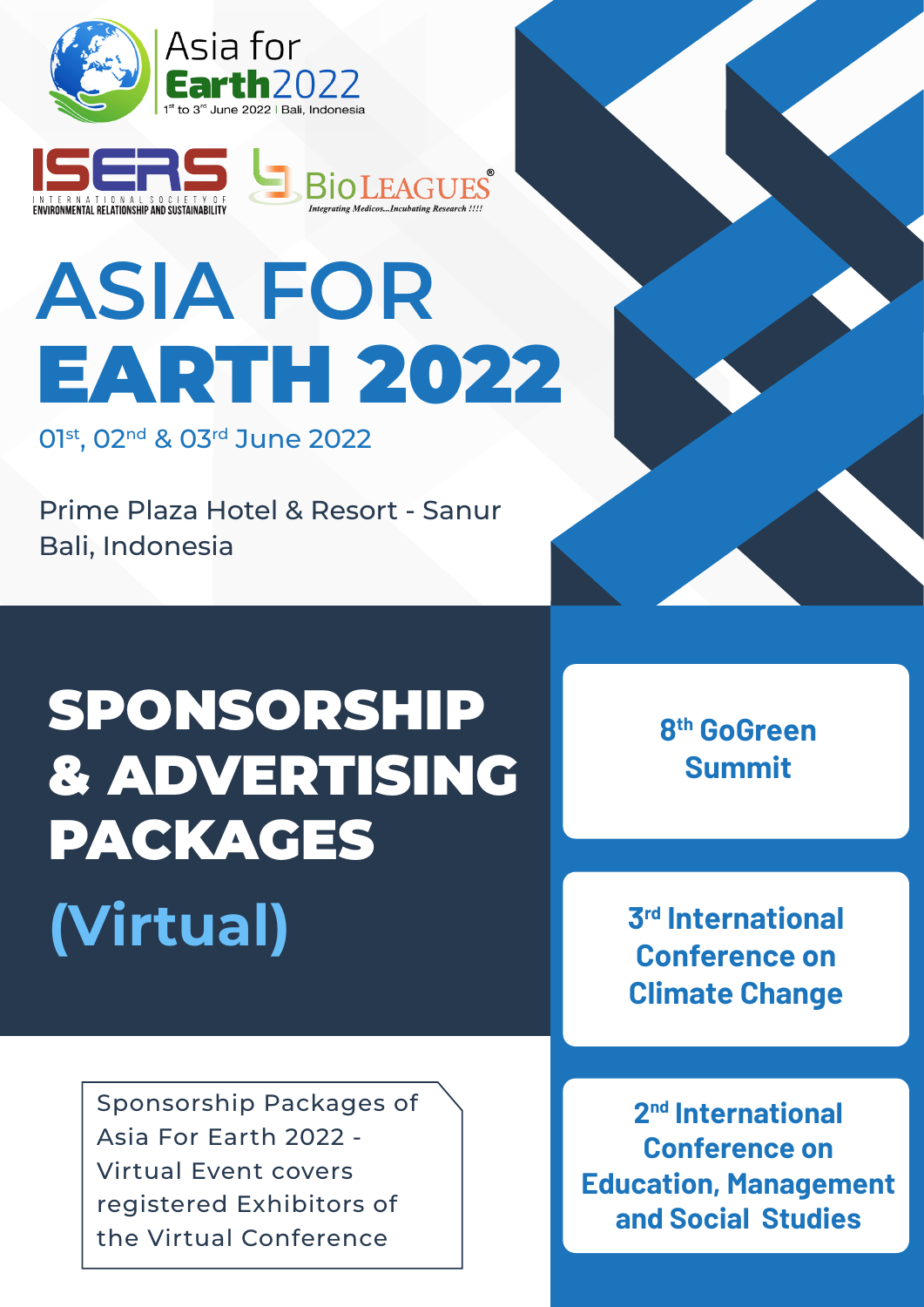



# **ASIA FOR** EARTH 2022

01st, 02<sup>nd</sup> & 03<sup>rd</sup> June 2022

Prime Plaza Hotel & Resort - Sanur Bali, Indonesia

## SPONSORSHIP & ADVERTISING PACKAGES **(Virtual)**

**8th GoGreen Summit**

**3rd International Conference on Climate Change**

Sponsorship Packages of Asia For Earth 2022 - Virtual Event covers registered Exhibitors of the Virtual Conference

**2nd International Conference on Education, Management and Social Studies**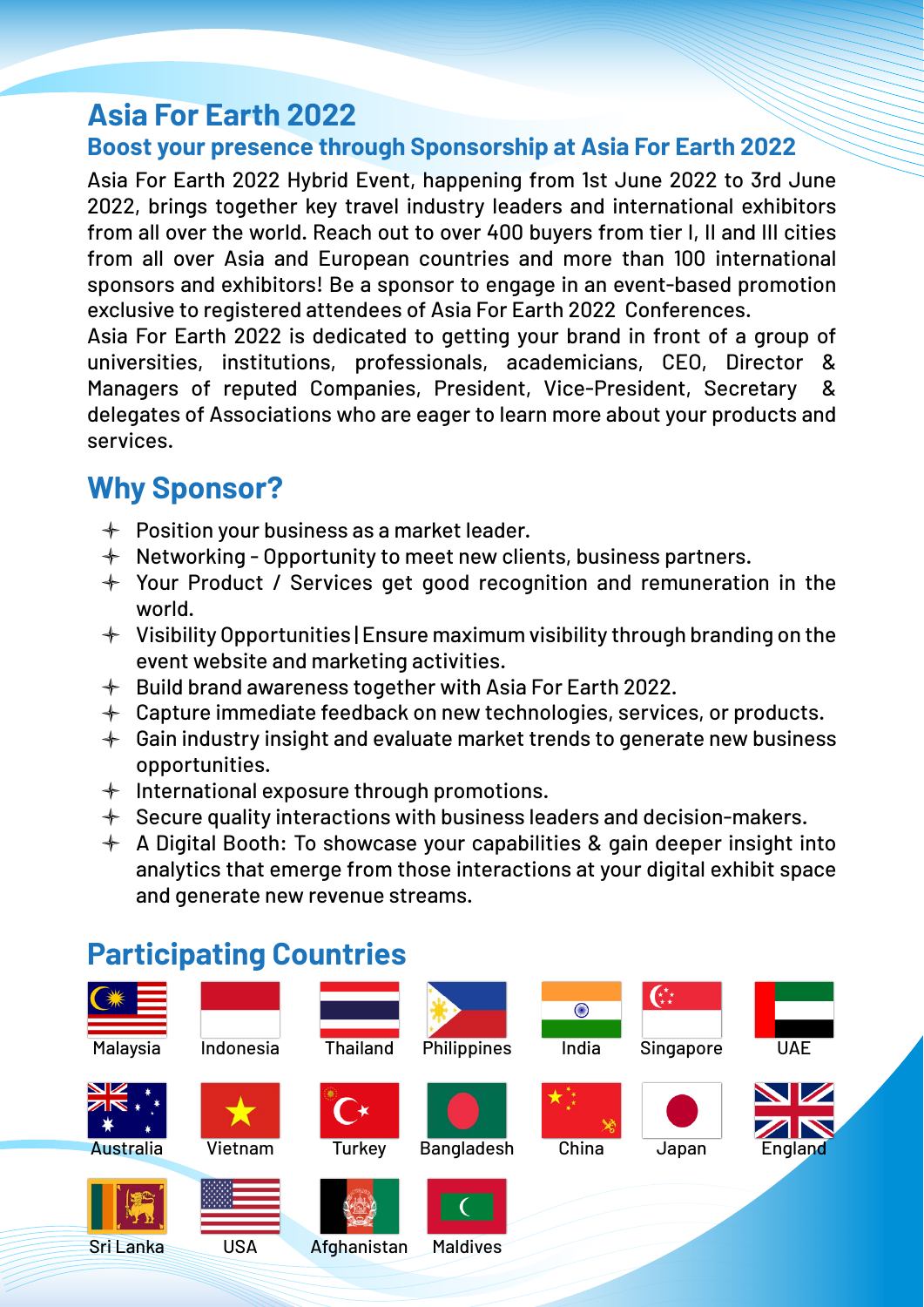## **Asia For Earth 2022**

#### **Boost your presence through Sponsorship at Asia For Earth 2022**

Asia For Earth 2022 Hybrid Event, happening from 1st June 2022 to 3rd June 2022, brings together key travel industry leaders and international exhibitors from all over the world. Reach out to over 400 buyers from tier I, II and III cities from all over Asia and European countries and more than 100 international sponsors and exhibitors! Be a sponsor to engage in an event-based promotion exclusive to registered attendees of Asia For Earth 2022 Conferences.

Asia For Earth 2022 is dedicated to getting your brand in front of a group of universities, institutions, professionals, academicians, CEO, Director & Managers of reputed Companies, President, Vice-President, Secretary & delegates of Associations who are eager to learn more about your products and services.

## **Why Sponsor?**

- $+$  Position your business as a market leader.
- $+$  Networking Opportunity to meet new clients, business partners.
- $+$  Your Product / Services get good recognition and remuneration in the world.
- $+$  Visibility Opportunities | Ensure maximum visibility through branding on the event website and marketing activities.
- $+$  Build brand awareness together with Asia For Earth 2022.
- $\div$  Capture immediate feedback on new technologies, services, or products.
- $\div$  Gain industry insight and evaluate market trends to generate new business opportunities.
- $+$  International exposure through promotions.
- $+$  Secure quality interactions with business leaders and decision-makers.
- $\triangleq$  A Digital Booth: To showcase your capabilities & gain deeper insight into analytics that emerge from those interactions at your digital exhibit space and generate new revenue streams.

## **Participating Countries**

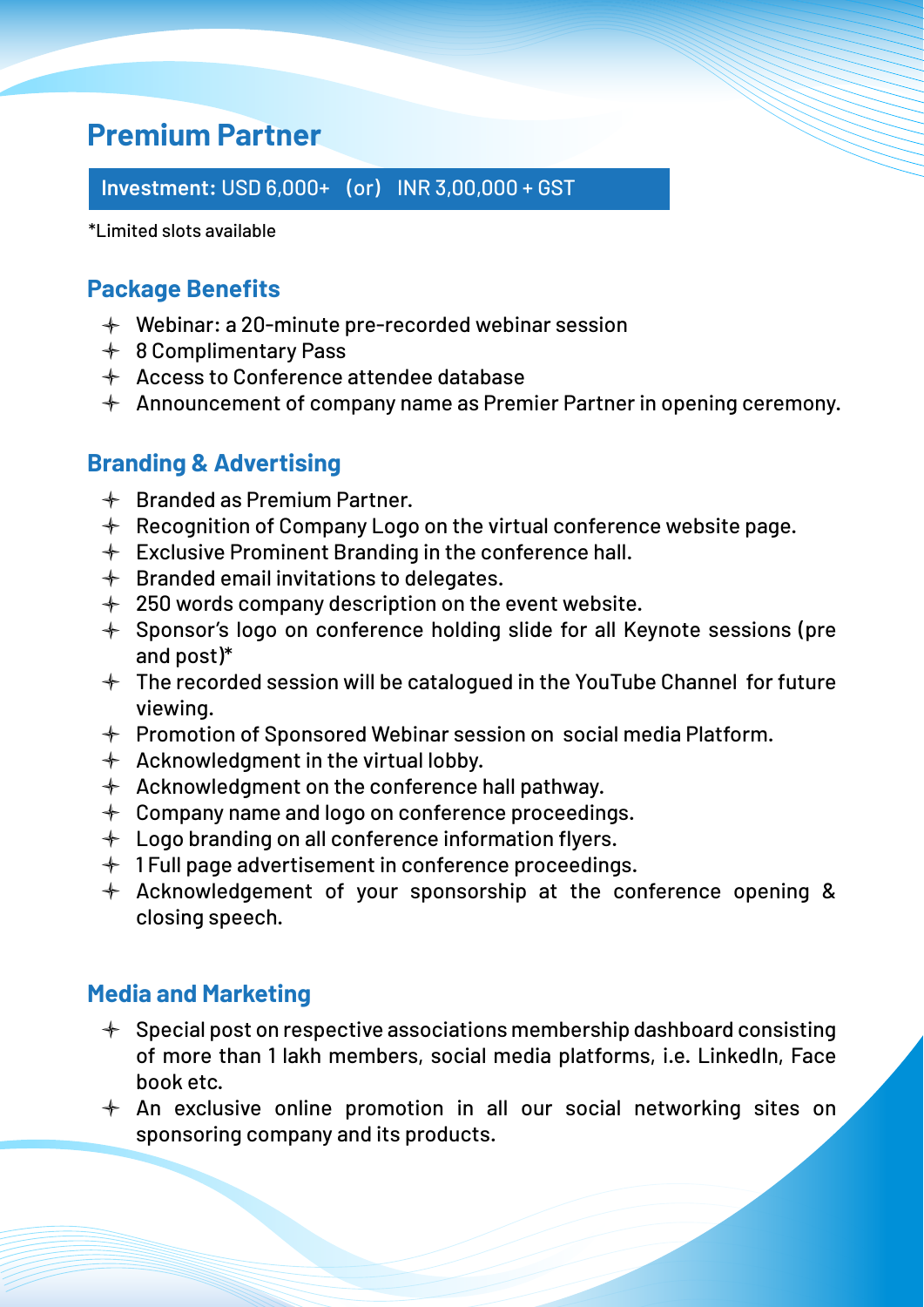## **Premium Partner**

**Investment:** USD 6,000+ (or) INR 3,00,000 + GST

\*Limited slots available

#### **Package Benefits**

- Webinar: a 20-minute pre-recorded webinar session
- **♦ 8 Complimentary Pass**
- $\triangleleft$  Access to Conference attendee database
- $\textcolor{red}{\ast}$  Announcement of company name as Premier Partner in opening ceremony.

#### **Branding & Advertising**

- $\triangleleft$  Branded as Premium Partner.
- $\triangleq$  Recognition of Company Logo on the virtual conference website page.
- $\div$  Exclusive Prominent Branding in the conference hall.
- $\textcolor{red}{\ast}$  Branded email invitations to delegates.
- $+$  250 words company description on the event website.
- $+$  Sponsor's logo on conference holding slide for all Keynote sessions (pre and post)\*
- $+$  The recorded session will be catalogued in the YouTube Channel for future viewing.
- $+$  Promotion of Sponsored Webinar session on social media Platform.
- $\triangleleft$  Acknowledgment in the virtual lobby.
- $\triangleleft$  Acknowledgment on the conference hall pathway.
- $+$  Company name and logo on conference proceedings.
- $+$  Logo branding on all conference information flyers.
- $+$  1 Full page advertisement in conference proceedings.
- $+$  Acknowledgement of your sponsorship at the conference opening & closing speech.

#### **Media and Marketing**

- $\div$  Special post on respective associations membership dashboard consisting of more than 1 lakh members, social media platforms, i.e. LinkedIn, Face book etc.
- $+$  An exclusive online promotion in all our social networking sites on sponsoring company and its products.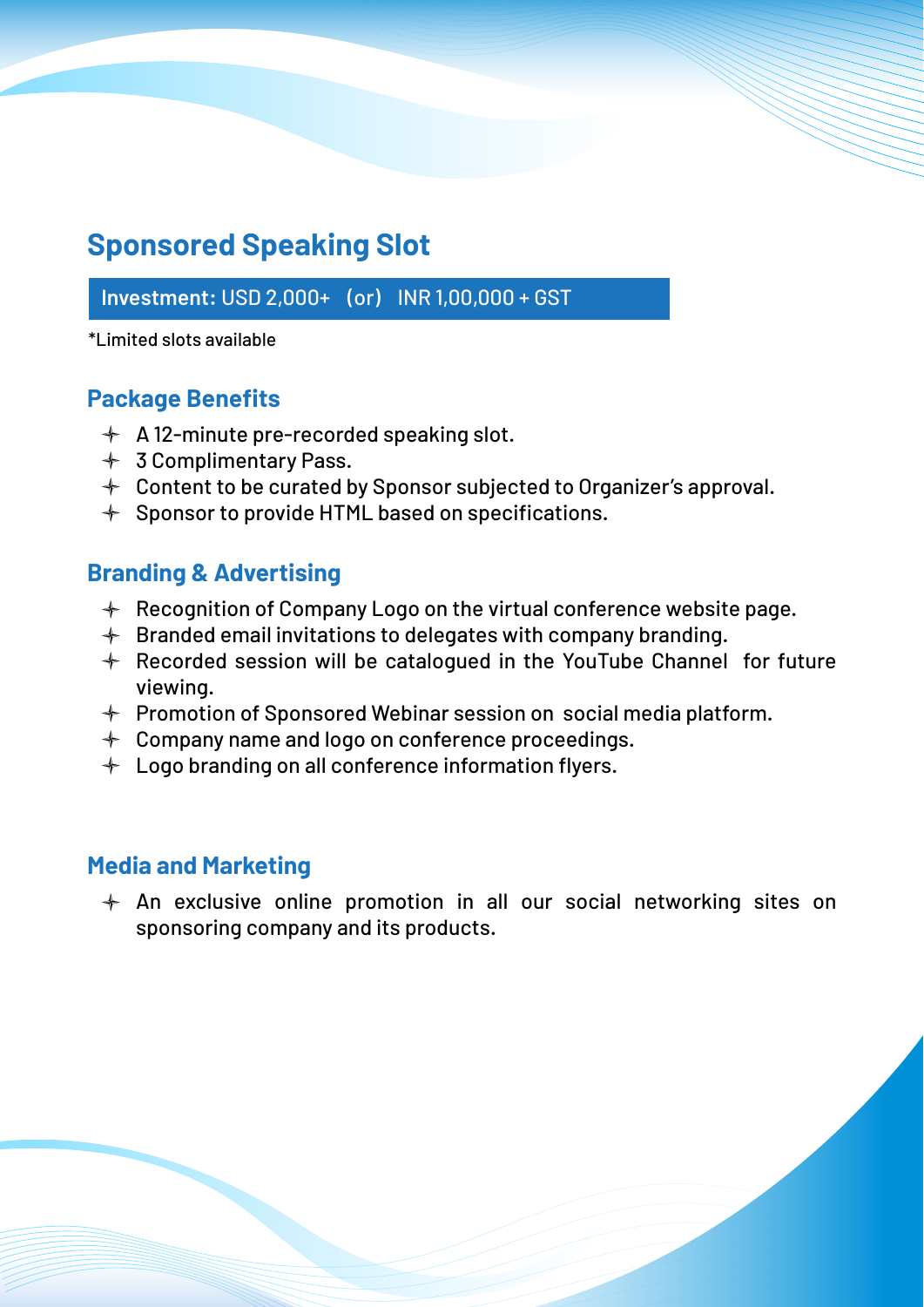## **Sponsored Speaking Slot**

**Investment:** USD 2,000+ (or) INR 1,00,000 + GST

\*Limited slots available

#### **Package Benefits**

- $\div$  A 12-minute pre-recorded speaking slot.
- **↑ 3 Complimentary Pass.**
- $+$  Content to be curated by Sponsor subjected to Organizer's approval.
- $\div$  Sponsor to provide HTML based on specifications.

#### **Branding & Advertising**

- $\textcolor{red}{\ast}$  Recognition of Company Logo on the virtual conference website page.
- $+$  Branded email invitations to delegates with company branding.
- $\div$  Recorded session will be catalogued in the YouTube Channel for future viewing.
- $+$  Promotion of Sponsored Webinar session on social media platform.
- $+$  Company name and logo on conference proceedings.
- $+$  Logo branding on all conference information flyers.

#### **Media and Marketing**

 $+$  An exclusive online promotion in all our social networking sites on sponsoring company and its products.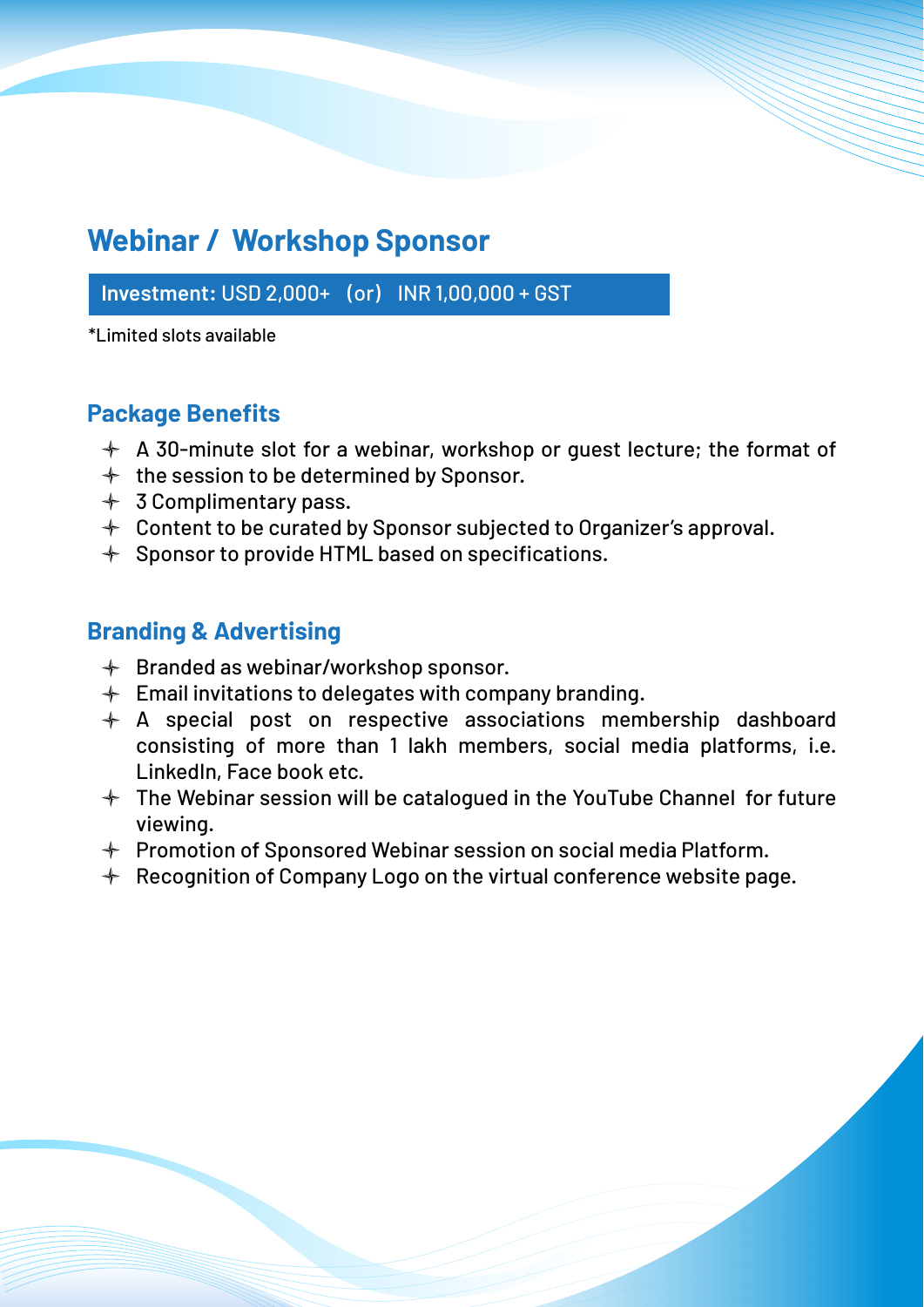## **Webinar / Workshop Sponsor**

**Investment:** USD 2,000+ (or) INR 1,00,000 + GST

\*Limited slots available

#### **Package Benefits**

- $\div$  A 30-minute slot for a webinar, workshop or guest lecture; the format of
- $+$  the session to be determined by Sponsor.
- $+$  3 Complimentary pass.
- $+$  Content to be curated by Sponsor subjected to Organizer's approval.
- $\div$  Sponsor to provide HTML based on specifications.

#### **Branding & Advertising**

- $\textcolor{red}{\ast}$  Branded as webinar/workshop sponsor.
- $\div$  Email invitations to delegates with company branding.
- $\div$  A special post on respective associations membership dashboard consisting of more than 1 lakh members, social media platforms, i.e. LinkedIn, Face book etc.
- $+$  The Webinar session will be catalogued in the YouTube Channel for future viewing.
- $+$  Promotion of Sponsored Webinar session on social media Platform.
- $\div$  Recognition of Company Logo on the virtual conference website page.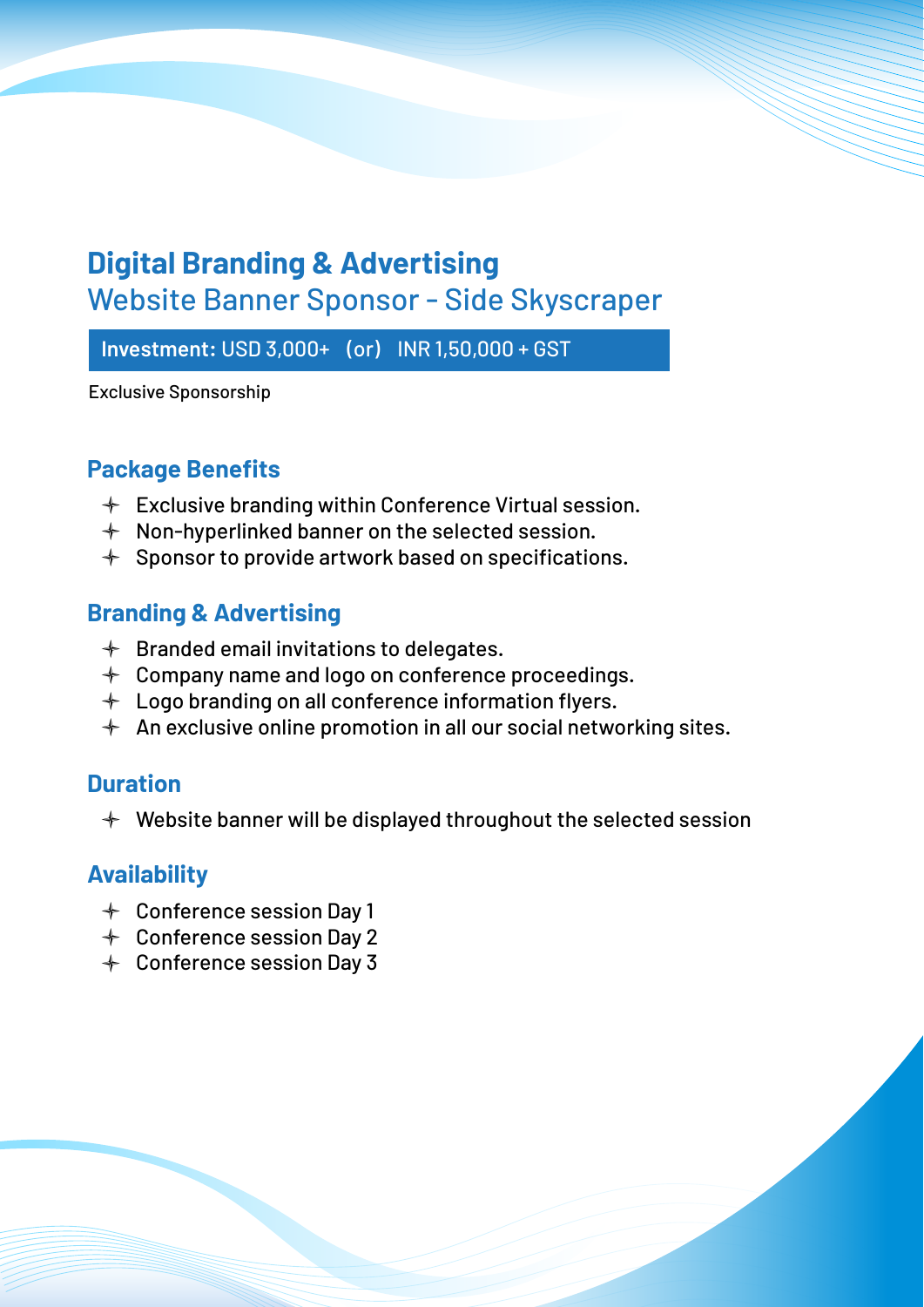## **Digital Branding & Advertising** Website Banner Sponsor - Side Skyscraper

**Investment:** USD 3,000+ (or) INR 1,50,000 + GST

Exclusive Sponsorship

#### **Package Benefits**

- $\div$  Exclusive branding within Conference Virtual session.
- $\div$  Non-hyperlinked banner on the selected session.
- $\div$  Sponsor to provide artwork based on specifications.

#### **Branding & Advertising**

- $\textcolor{red}{\ast}$  Branded email invitations to delegates.
- $+$  Company name and logo on conference proceedings.
- $+$  Logo branding on all conference information flyers.
- $+$  An exclusive online promotion in all our social networking sites.

#### **Duration**

 $\div$  Website banner will be displayed throughout the selected session

#### **Availability**

- Conference session Day 1
- Conference session Day 2
- Conference session Day 3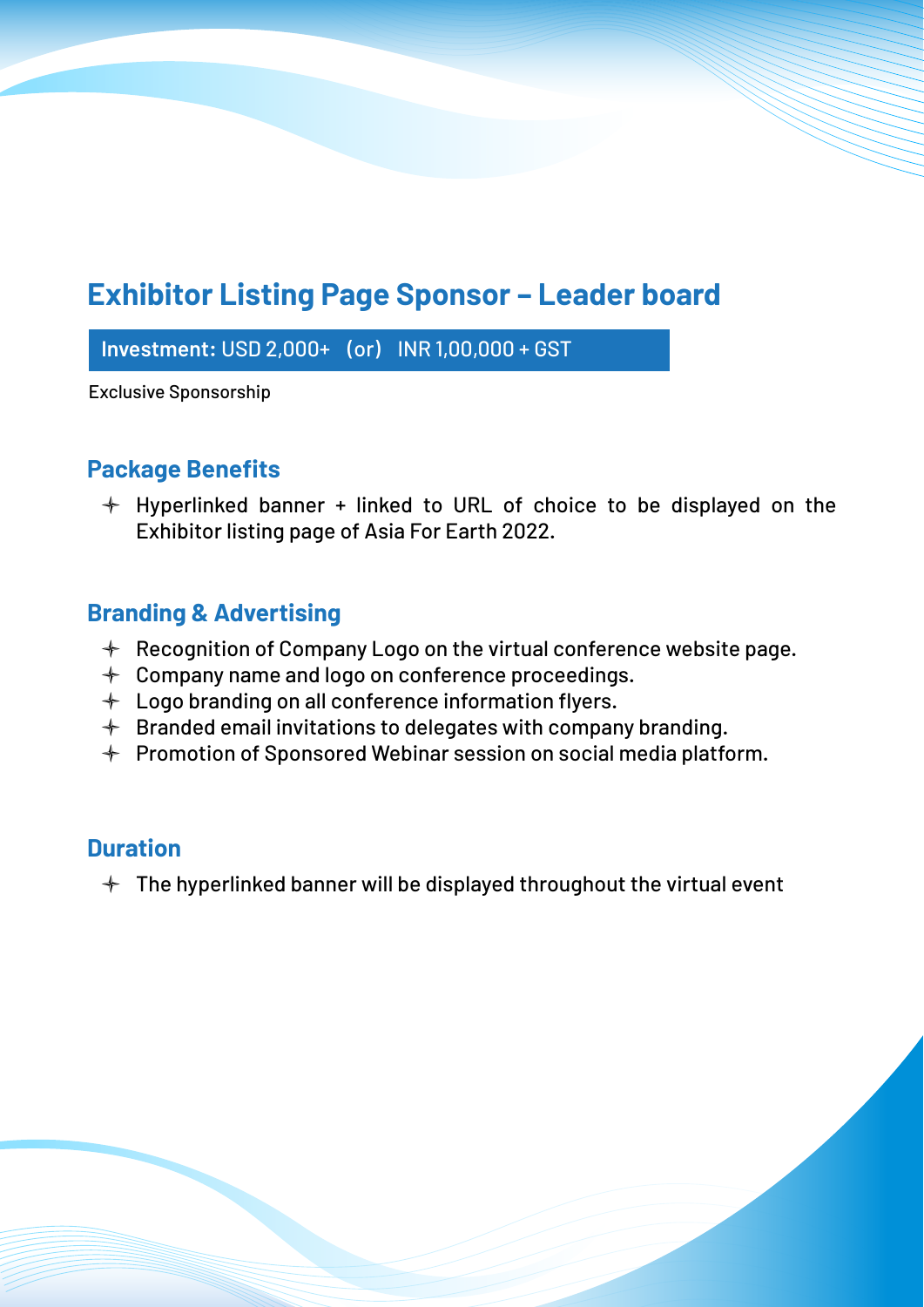## **Exhibitor Listing Page Sponsor – Leader board**

**Investment:** USD 2,000+ (or) INR 1,00,000 + GST

Exclusive Sponsorship

#### **Package Benefits**

 $+$  Hyperlinked banner + linked to URL of choice to be displayed on the Exhibitor listing page of Asia For Earth 2022.

#### **Branding & Advertising**

- $\textcolor{red}{\ast}$  Recognition of Company Logo on the virtual conference website page.
- $+$  Company name and logo on conference proceedings.
- $+$  Logo branding on all conference information flyers.
- $+$  Branded email invitations to delegates with company branding.
- $+$  Promotion of Sponsored Webinar session on social media platform.

#### **Duration**

 $+$  The hyperlinked banner will be displayed throughout the virtual event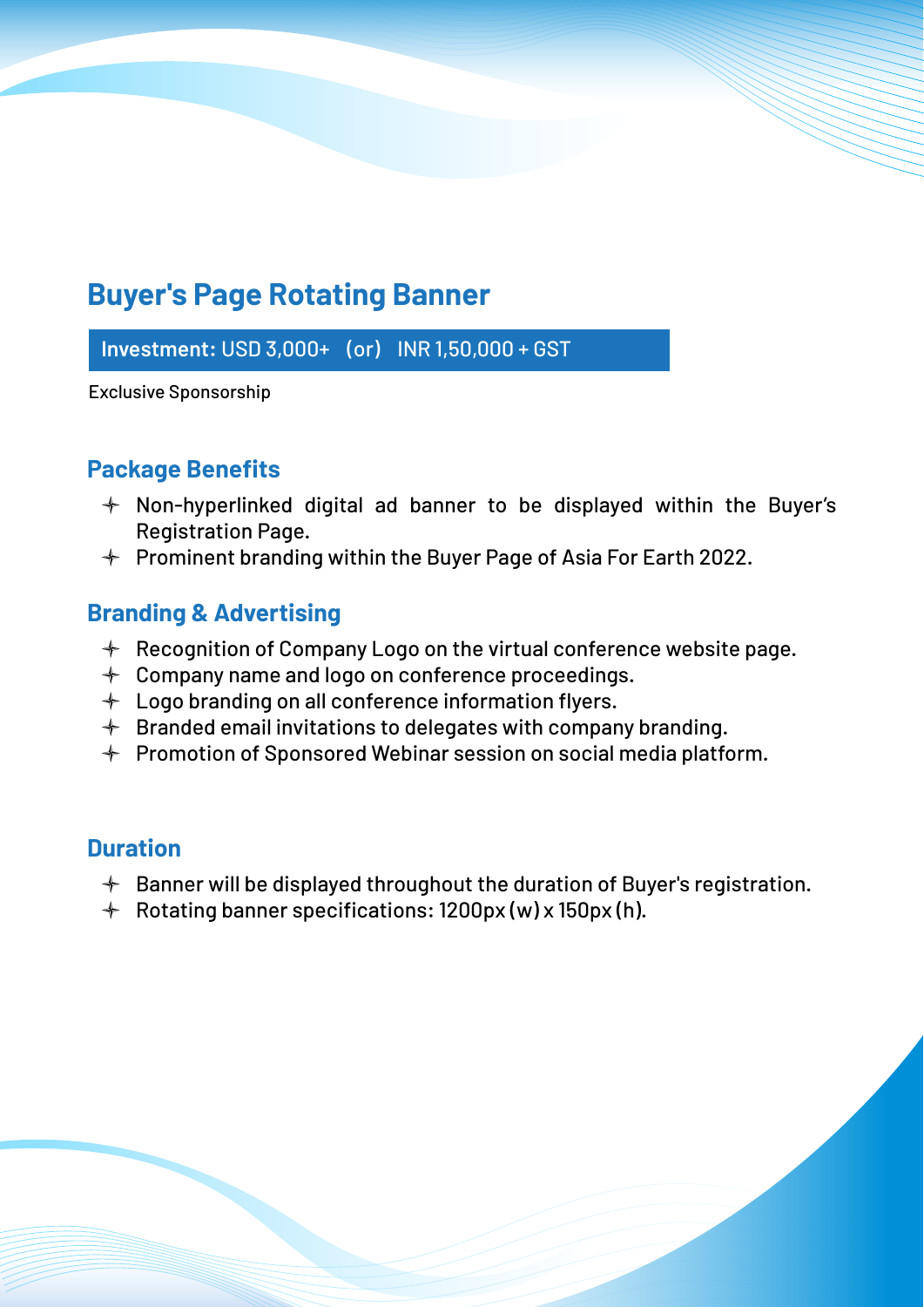## **Buyer's Page Rotating Banner**

**Investment:** USD 3,000+ (or) INR 1,50,000 + GST

Exclusive Sponsorship

#### **Package Benefits**

- $+$  Non-hyperlinked digital ad banner to be displayed within the Buyer's Registration Page.
- $\div$  Prominent branding within the Buyer Page of Asia For Earth 2022.

#### **Branding & Advertising**

- $\textcolor{red}{\ast}$  Recognition of Company Logo on the virtual conference website page.
- $+$  Company name and logo on conference proceedings.
- $+$  Logo branding on all conference information flyers.
- $+$  Branded email invitations to delegates with company branding.
- $+$  Promotion of Sponsored Webinar session on social media platform.

#### **Duration**

- $\triangleq$  Banner will be displayed throughout the duration of Buyer's registration.
- Rotating banner specifications: 1200px (w) x 150px (h).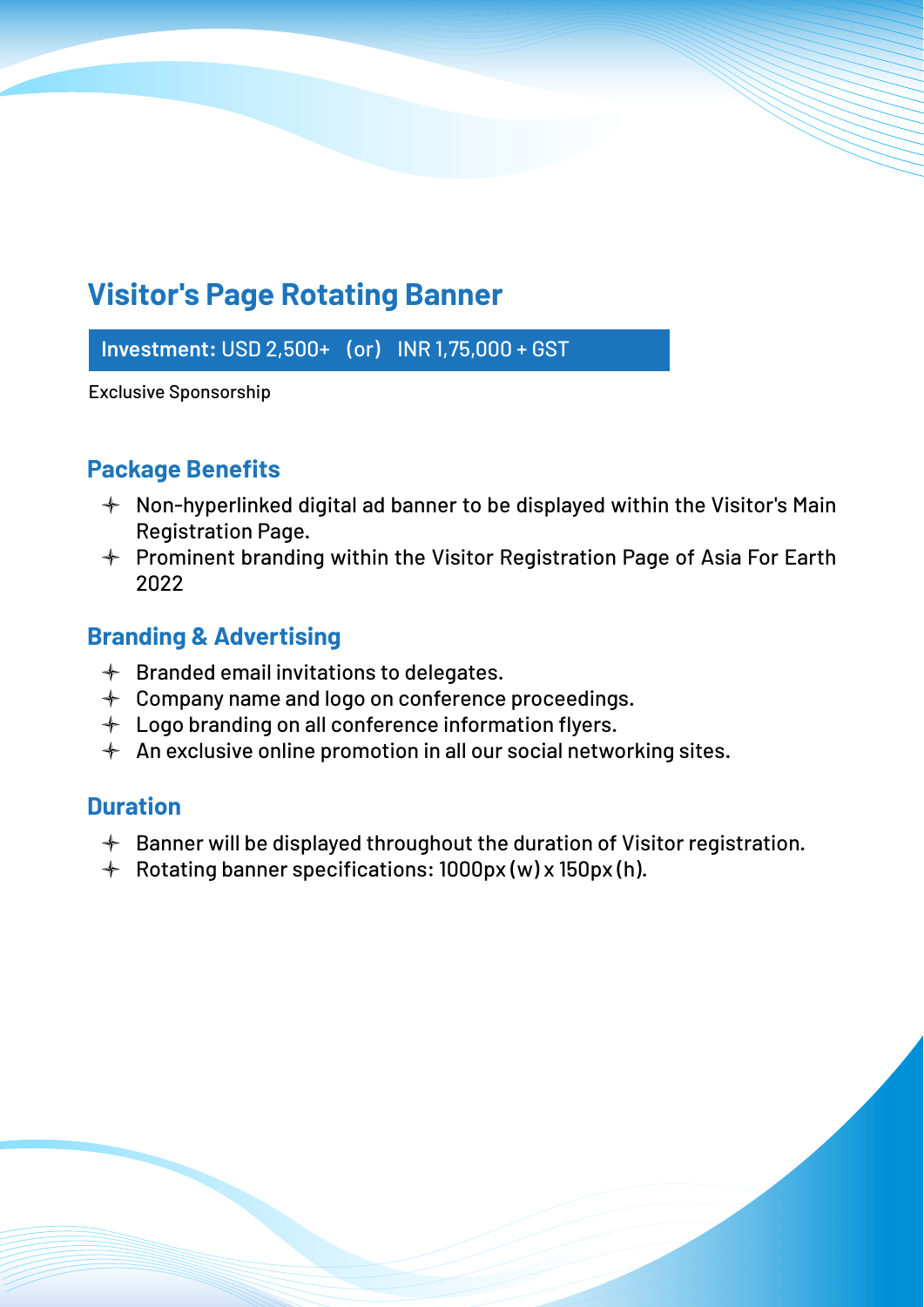## **Visitor's Page Rotating Banner**

**Investment:** USD 2,500+ (or) INR 1,75,000 + GST

Exclusive Sponsorship

#### **Package Benefits**

- $+$  Non-hyperlinked digital ad banner to be displayed within the Visitor's Main Registration Page.
- $+$  Prominent branding within the Visitor Registration Page of Asia For Earth 2022

#### **Branding & Advertising**

- $\triangleleft$  Branded email invitations to delegates.
- $+$  Company name and logo on conference proceedings.
- $+$  Logo branding on all conference information flyers.
- $+$  An exclusive online promotion in all our social networking sites.

#### **Duration**

- $\triangleq$  Banner will be displayed throughout the duration of Visitor registration.
- Rotating banner specifications: 1000px (w) x 150px (h).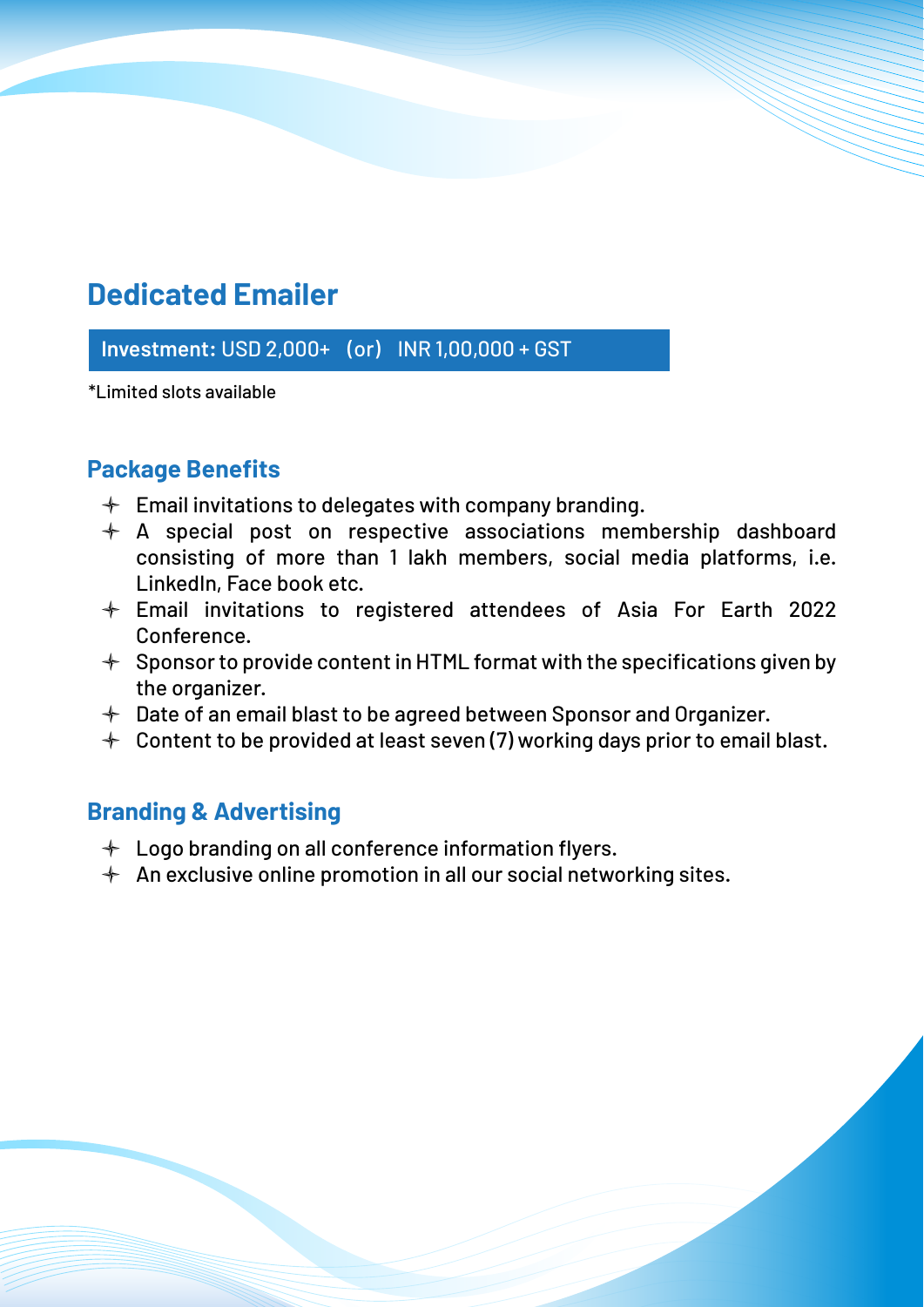## **Dedicated Emailer**

**Investment:** USD 2,000+ (or) INR 1,00,000 + GST

\*Limited slots available

#### **Package Benefits**

- $\div$  Email invitations to delegates with company branding.
- $\div$  A special post on respective associations membership dashboard consisting of more than 1 lakh members, social media platforms, i.e. LinkedIn, Face book etc.
- Email invitations to registered attendees of Asia For Earth 2022 Conference.
- $\div$  Sponsor to provide content in HTML format with the specifications given by the organizer.
- $+$  Date of an email blast to be agreed between Sponsor and Organizer.
- $+$  Content to be provided at least seven (7) working days prior to email blast.

#### **Branding & Advertising**

- $+$  Logo branding on all conference information flyers.
- $+$  An exclusive online promotion in all our social networking sites.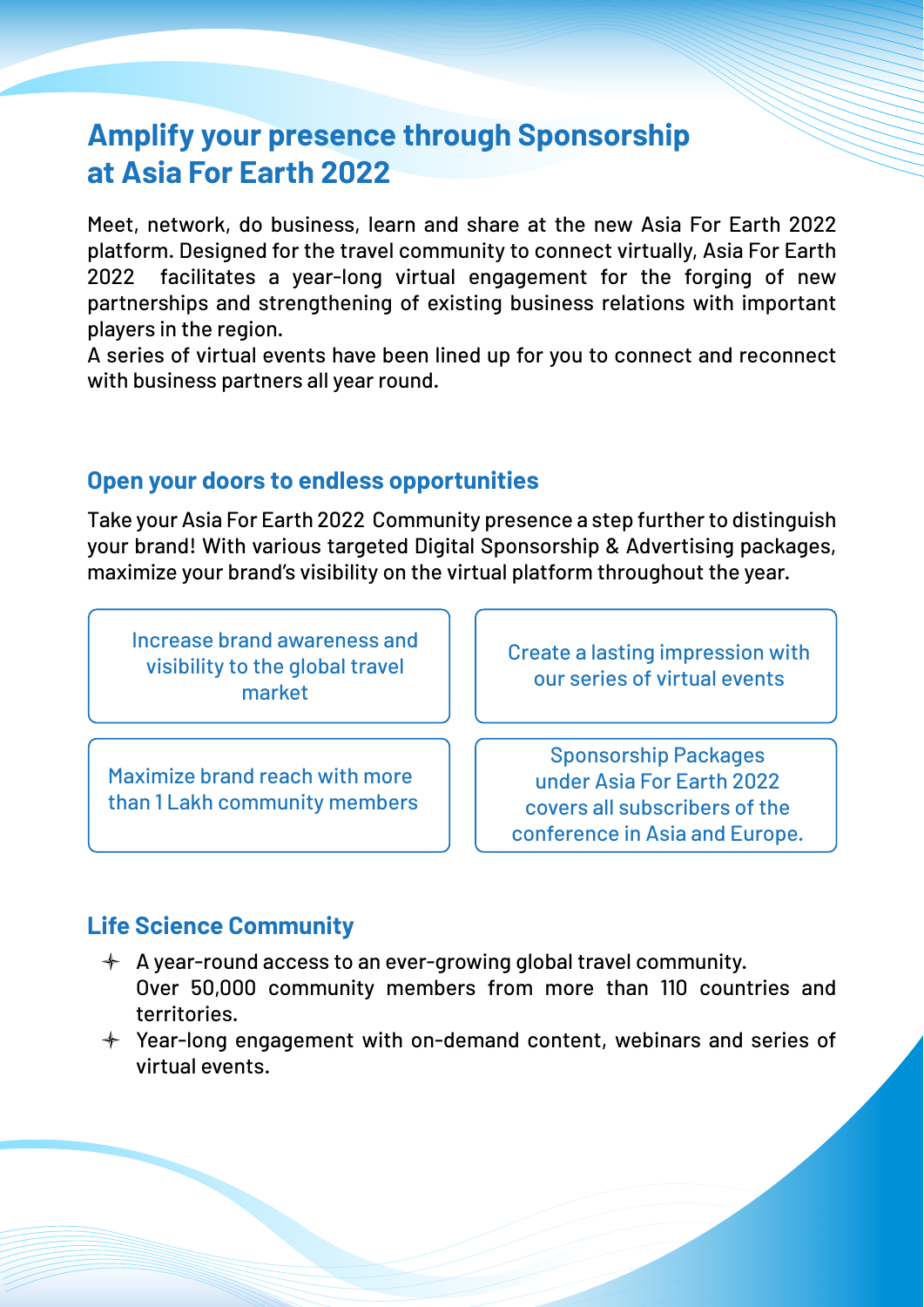## **Amplify your presence through Sponsorship at Asia For Earth 2022**

Meet, network, do business, learn and share at the new Asia For Earth 2022 platform. Designed for the travel community to connect virtually, Asia For Earth 2022 facilitates a year-long virtual engagement for the forging of new partnerships and strengthening of existing business relations with important players in the region.

A series of virtual events have been lined up for you to connect and reconnect with business partners all year round.

#### **Open your doors to endless opportunities**

Take your Asia For Earth 2022 Community presence a step further to distinguish your brand! With various targeted Digital Sponsorship & Advertising packages, maximize your brand's visibility on the virtual platform throughout the year.

Increase brand awareness and visibility to the global travel market

Maximize brand reach with more than 1 Lakh community members Create a lasting impression with our series of virtual events

Sponsorship Packages under Asia For Earth 2022 covers all subscribers of the conference in Asia and Europe.

#### **Life Science Community**

- $\triangleq$  A year-round access to an ever-growing global travel community. Over 50,000 community members from more than 110 countries and territories.
- $+$  Year-long engagement with on-demand content, webinars and series of virtual events.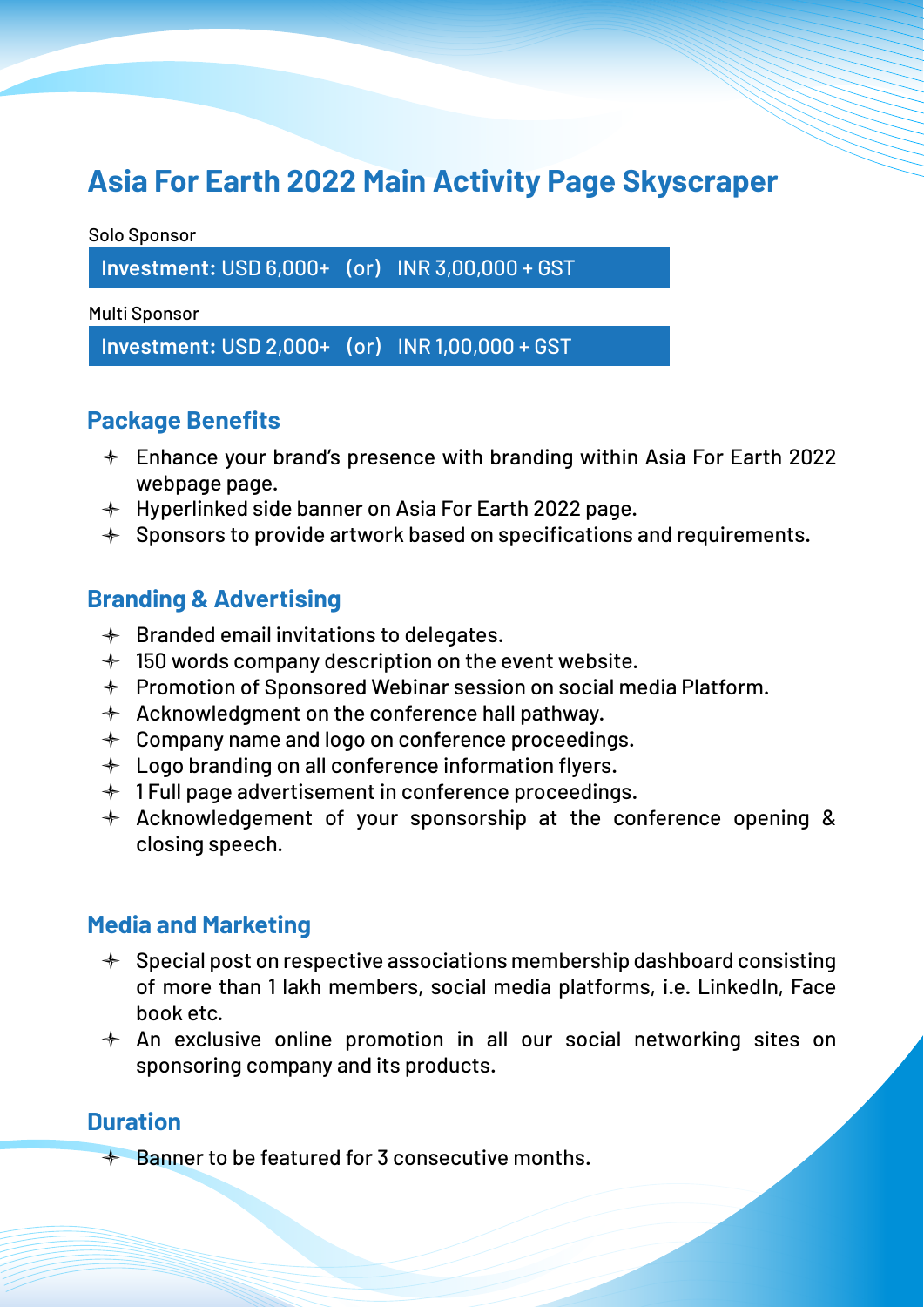## **Asia For Earth 2022 Main Activity Page Skyscraper**

Solo Sponsor

**Investment:** USD 6,000+ (or) INR 3,00,000 + GST

Multi Sponsor

**Investment:** USD 2,000+ (or) INR 1,00,000 + GST

#### **Package Benefits**

- $\div$  Enhance your brand's presence with branding within Asia For Earth 2022 webpage page.
- $+$  Hyperlinked side banner on Asia For Earth 2022 page.
- $+$  Sponsors to provide artwork based on specifications and requirements.

#### **Branding & Advertising**

- $\triangleleft$  Branded email invitations to delegates.
- $+$  150 words company description on the event website.
- $+$  Promotion of Sponsored Webinar session on social media Platform.
- $\triangleleft$  Acknowledgment on the conference hall pathway.
- $+$  Company name and logo on conference proceedings.
- $+$  Logo branding on all conference information flyers.
- $+$  1 Full page advertisement in conference proceedings.
- $+$  Acknowledgement of your sponsorship at the conference opening & closing speech.

#### **Media and Marketing**

- $\div$  Special post on respective associations membership dashboard consisting of more than 1 lakh members, social media platforms, i.e. LinkedIn, Face book etc.
- $+$  An exclusive online promotion in all our social networking sites on sponsoring company and its products.

#### **Duration**

 $\triangleq$  Banner to be featured for 3 consecutive months.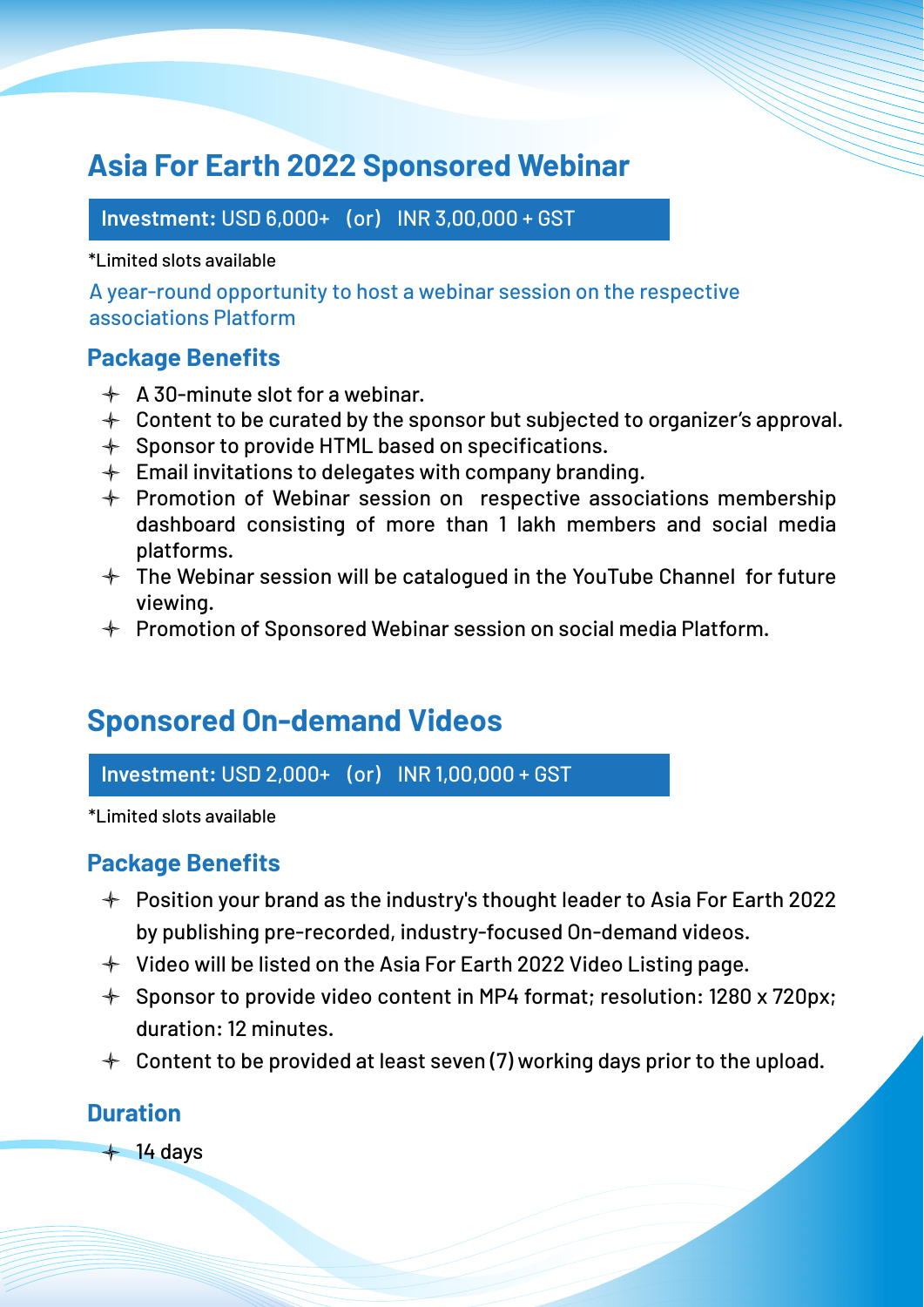## **Asia For Earth 2022 Sponsored Webinar**

**Investment:** USD 6,000+ (or) INR 3,00,000 + GST

\*Limited slots available

A year-round opportunity to host a webinar session on the respective associations Platform

#### **Package Benefits**

- $\triangle$  A 30-minute slot for a webinar.
- $+$  Content to be curated by the sponsor but subjected to organizer's approval.
- $\div$  Sponsor to provide HTML based on specifications.
- $\div$  Email invitations to delegates with company branding.
- $+$  Promotion of Webinar session on respective associations membership dashboard consisting of more than 1 lakh members and social media platforms.
- $+$  The Webinar session will be catalogued in the YouTube Channel for future viewing.
- $+$  Promotion of Sponsored Webinar session on social media Platform.

## **Sponsored On-demand Videos**

**Investment:** USD 2,000+ (or) INR 1,00,000 + GST

\*Limited slots available

#### **Package Benefits**

- $+$  Position your brand as the industry's thought leader to Asia For Earth 2022 by publishing pre-recorded, industry-focused On-demand videos.
- $+$  Video will be listed on the Asia For Earth 2022 Video Listing page.
- Sponsor to provide video content in MP4 format; resolution: 1280 x 720px; duration: 12 minutes.
- $+$  Content to be provided at least seven (7) working days prior to the upload.

#### **Duration**

 $+ 14$  days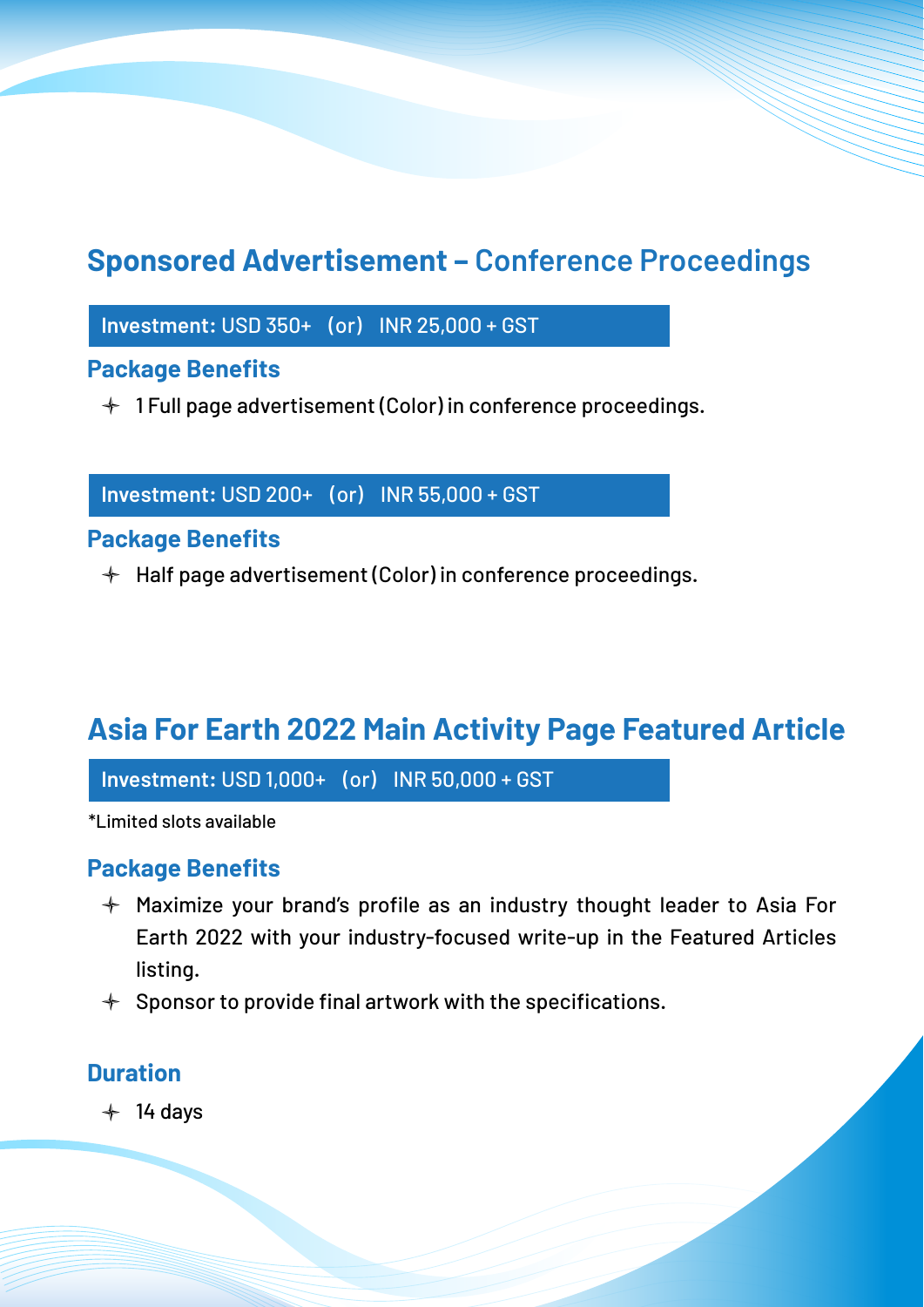## **Sponsored Advertisement – Conference Proceedings**

**Investment:** USD 350+ (or) INR 25,000 + GST

#### **Package Benefits**

 $+$  1 Full page advertisement (Color) in conference proceedings.

**Investment:** USD 200+ (or) INR 55,000 + GST

#### **Package Benefits**

 $\div$  Half page advertisement (Color) in conference proceedings.

## **Asia For Earth 2022 Main Activity Page Featured Article**

**Investment:** USD 1,000+ (or) INR 50,000 + GST

\*Limited slots available

#### **Package Benefits**

- $+$  Maximize your brand's profile as an industry thought leader to Asia For Earth 2022 with your industry-focused write-up in the Featured Articles listing.
- $+$  Sponsor to provide final artwork with the specifications.

#### **Duration**

 $+ 14$  days